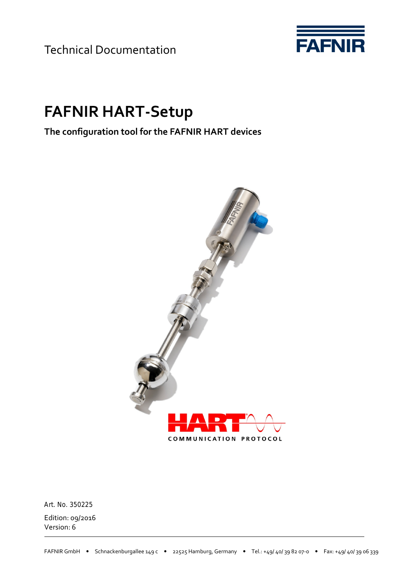Technical Documentation



# **FAFNIR HART-Setup**

**The configuration tool for the FAFNIR HART devices** 



Edition: 09/2016 Version: 6 Art. No. 350225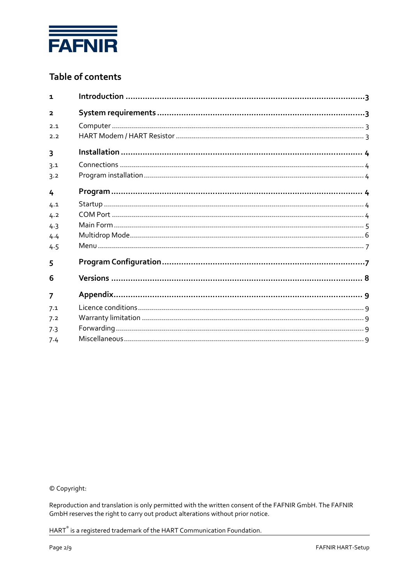

# Table of contents

| 1                       |  |
|-------------------------|--|
| $\overline{\mathbf{2}}$ |  |
| 2.1                     |  |
| 2.2                     |  |
| 3                       |  |
| 3.1                     |  |
| 3.2                     |  |
| 4                       |  |
| 4.1                     |  |
| 4.2                     |  |
| 4.3                     |  |
| 4.4                     |  |
| 4.5                     |  |
| 5                       |  |
| 6                       |  |
| 7                       |  |
| 7.1                     |  |
| 7.2                     |  |
| 7.3                     |  |
| 7.4                     |  |
|                         |  |

© Copyright:

Reproduction and translation is only permitted with the written consent of the FAFNIR GmbH. The FAFNIR GmbH reserves the right to carry out product alterations without prior notice.

HART<sup>®</sup> is a registered trademark of the HART Communication Foundation.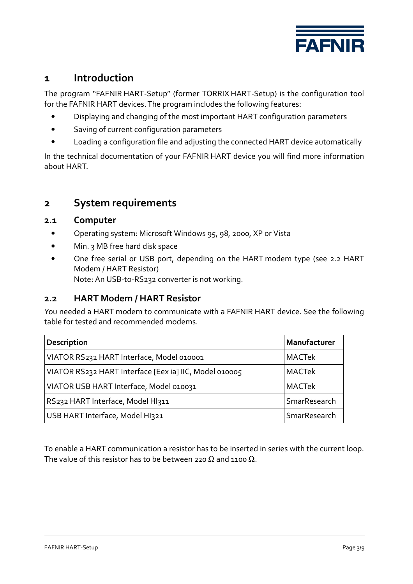

# **1 Introduction**

The program "FAFNIR HART-Setup" (former TORRIX HART-Setup) is the configuration tool for the FAFNIR HART devices. The program includes the following features:

- Displaying and changing of the most important HART configuration parameters
- Saving of current configuration parameters
- Loading a configuration file and adjusting the connected HART device automatically

In the technical documentation of your FAFNIR HART device you will find more information about HART.

# **2 System requirements**

#### **2.1 Computer**

- Operating system: Microsoft Windows 95, 98, 2000, XP or Vista
- Min. 3 MB free hard disk space
- One free serial or USB port, depending on the HART modem type (see 2.2 HART Modem / HART Resistor) Note: An USB-to-RS232 converter is not working.

## **2.2 HART Modem / HART Resistor**

You needed a HART modem to communicate with a FAFNIR HART device. See the following table for tested and recommended modems.

| <b>Description</b>                                     | Manufacturer  |  |
|--------------------------------------------------------|---------------|--|
| VIATOR RS232 HART Interface, Model 010001              | <b>MACTek</b> |  |
| VIATOR RS232 HART Interface [Eex ia] IIC, Model 010005 | <b>MACTek</b> |  |
| VIATOR USB HART Interface, Model 010031                | <b>MACTek</b> |  |
| RS232 HART Interface, Model HI311                      | SmarResearch  |  |
| USB HART Interface, Model HI321                        | SmarResearch  |  |

To enable a HART communication a resistor has to be inserted in series with the current loop. The value of this resistor has to be between 220  $\Omega$  and 1100  $\Omega$ .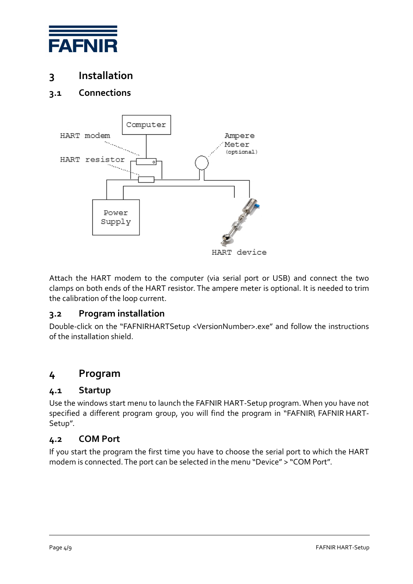

# **3 Installation**

# **3.1 Connections**



Attach the HART modem to the computer (via serial port or USB) and connect the two clamps on both ends of the HART resistor. The ampere meter is optional. It is needed to trim the calibration of the loop current.

## **3.2 Program installation**

Double-click on the "FAFNIRHARTSetup <VersionNumber>.exe" and follow the instructions of the installation shield.

# **4 Program**

#### **4.1 Startup**

Use the windows start menu to launch the FAFNIR HART-Setup program. When you have not specified a different program group, you will find the program in "FAFNIR\ FAFNIR HART-Setup".

#### **4.2 COM Port**

If you start the program the first time you have to choose the serial port to which the HART modem is connected. The port can be selected in the menu "Device" > "COM Port".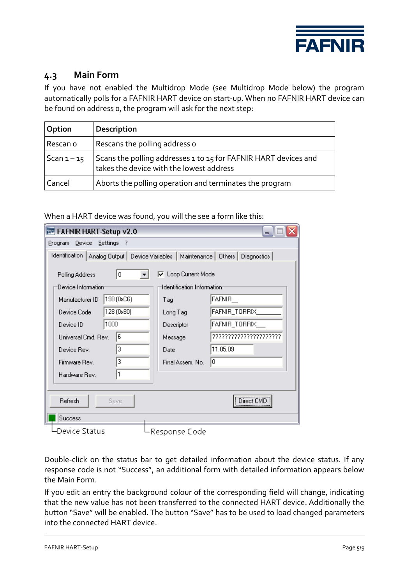

## **4.3 Main Form**

If you have not enabled the Multidrop Mode (see Multidrop Mode below) the program automatically polls for a FAFNIR HART device on start-up. When no FAFNIR HART device can be found on address 0, the program will ask for the next step:

| Option        | <b>Description</b>                                                                                          |
|---------------|-------------------------------------------------------------------------------------------------------------|
| Rescan o      | Rescans the polling address o                                                                               |
| Scan $1 - 15$ | Scans the polling addresses 1 to 15 for FAFNIR HART devices and<br>takes the device with the lowest address |
| Cancel        | Aborts the polling operation and terminates the program                                                     |

When a HART device was found, you will the see a form like this:

| <b>EXP</b> FAFNIR HART-Setup v2.0                                                                      |                                         |                       |  |  |  |  |
|--------------------------------------------------------------------------------------------------------|-----------------------------------------|-----------------------|--|--|--|--|
| Device Settings ?<br>Program                                                                           |                                         |                       |  |  |  |  |
| Identification  <br>Analog Output   Device Variables  <br>Maintenance   Others  <br><b>Diagnostics</b> |                                         |                       |  |  |  |  |
| 0<br>$\overline{\mathbf{v}}$ Loop Current Mode<br>Polling Address                                      |                                         |                       |  |  |  |  |
| Device Information:                                                                                    | Identification Information <sup>.</sup> |                       |  |  |  |  |
| 198 (0xC6)<br>Manufacturer ID                                                                          | Tag                                     | FAFNIR_               |  |  |  |  |
| 128 (0x80)<br>Device Code                                                                              | Long Tag                                | FAFNIR_TORRIX_        |  |  |  |  |
| 1000<br>Device ID                                                                                      | Descriptor                              | FAFNIR_TORRIX_        |  |  |  |  |
| 6<br>Universal Cmd. Rev.                                                                               | Message                                 | 777777777777777777777 |  |  |  |  |
| 3<br>Device Rev.                                                                                       | Date                                    | 11.05.09              |  |  |  |  |
| 3<br>Firmware Rev.                                                                                     | Final Assem, No.                        | l0.                   |  |  |  |  |
| 1<br>Hardware Rev.                                                                                     |                                         |                       |  |  |  |  |
|                                                                                                        |                                         |                       |  |  |  |  |
| Refresh<br>Save                                                                                        |                                         | <br>Direct CMD        |  |  |  |  |
| Success                                                                                                |                                         |                       |  |  |  |  |
| Device Status                                                                                          | Response Code                           |                       |  |  |  |  |

Double-click on the status bar to get detailed information about the device status. If any response code is not "Success", an additional form with detailed information appears below the Main Form.

If you edit an entry the background colour of the corresponding field will change, indicating that the new value has not been transferred to the connected HART device. Additionally the button "Save" will be enabled. The button "Save" has to be used to load changed parameters into the connected HART device.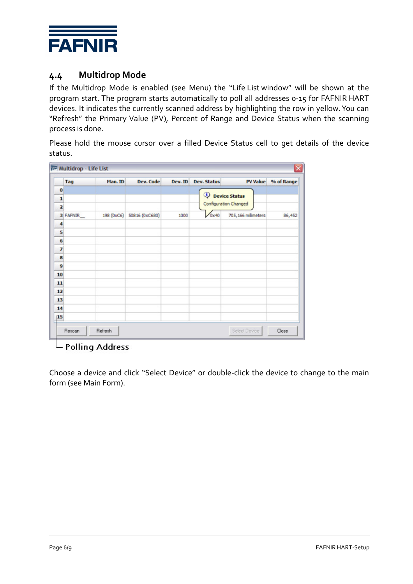

## **4.4 Multidrop Mode**

If the Multidrop Mode is enabled (see Menu) the "Life List window" will be shown at the program start. The program starts automatically to poll all addresses 0-15 for FAFNIR HART devices. It indicates the currently scanned address by highlighting the row in yellow. You can "Refresh" the Primary Value (PV), Percent of Range and Device Status when the scanning process is done.

Please hold the mouse cursor over a filled Device Status cell to get details of the device status.

|                         | Tag      | Man. ID    | Dev. Code      | Dev. ID | <b>Dev. Status</b>   | <b>PV Value</b>       | % of Range |
|-------------------------|----------|------------|----------------|---------|----------------------|-----------------------|------------|
| $\bf{0}$                |          |            |                |         |                      |                       |            |
| 1                       |          |            |                |         | <b>Device Status</b> |                       |            |
| $\overline{\mathbf{z}}$ |          |            |                |         |                      | Configuration Changed |            |
|                         | 3 FAFNIR | 198 (0xC6) | 50816 (0xC680) | 1000    | 0x40                 | 705, 166 millimeters  | 86,452     |
| 4                       |          |            |                |         |                      |                       |            |
| 5                       |          |            |                |         |                      |                       |            |
| 6                       |          |            |                |         |                      |                       |            |
| 7                       |          |            |                |         |                      |                       |            |
| 8                       |          |            |                |         |                      |                       |            |
| 9                       |          |            |                |         |                      |                       |            |
| 10                      |          |            |                |         |                      |                       |            |
| 11                      |          |            |                |         |                      |                       |            |
| $12$                    |          |            |                |         |                      |                       |            |
| 13                      |          |            |                |         |                      |                       |            |
| 14                      |          |            |                |         |                      |                       |            |
| 15                      |          |            |                |         |                      |                       |            |

 $\Box$  Polling Address

Choose a device and click "Select Device" or double-click the device to change to the main form (see Main Form).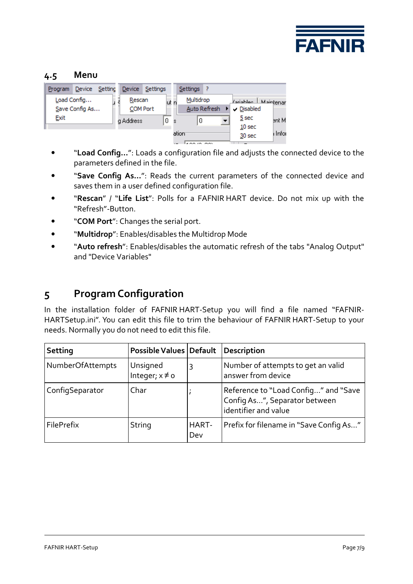

## **4.5 Menu**

| Setting<br>Device<br>Program |           | Device Settings    | <b>Settings</b> |              |                            |         |
|------------------------------|-----------|--------------------|-----------------|--------------|----------------------------|---------|
| Load Config                  | Rescan    | lut n              | Multidrop       |              | <b>Jariables</b> Maintenar |         |
| Save Config As               |           | <b>COM Port</b>    |                 | Auto Refresh | Disabled                   |         |
| Exit                         | a Address | 0.<br>$\mathbf{S}$ | 0               |              | 5 sec                      | ent M   |
|                              |           |                    |                 |              | 10 <sub>sec</sub>          |         |
|                              |           |                    | ation           |              | 30 sec                     | i Infor |

- "**Load Config…**": Loads a configuration file and adjusts the connected device to the parameters defined in the file.
- "**Save Config As…**": Reads the current parameters of the connected device and saves them in a user defined configuration file.
- "**Rescan**" / "**Life List**": Polls for a FAFNIR HART device. Do not mix up with the "Refresh"-Button.
- "**COM Port**": Changes the serial port.
- "**Multidrop**": Enables/disables the Multidrop Mode
- "**Auto refresh**": Enables/disables the automatic refresh of the tabs "Analog Output" and "Device Variables"

# **5 Program Configuration**

In the installation folder of FAFNIR HART-Setup you will find a file named "FAFNIR-HARTSetup.ini". You can edit this file to trim the behaviour of FAFNIR HART-Setup to your needs. Normally you do not need to edit this file.

| Setting          | <b>Possible Values Default</b>  |              | Description                                                                                   |
|------------------|---------------------------------|--------------|-----------------------------------------------------------------------------------------------|
| NumberOfAttempts | Unsigned<br>Integer; $x \neq 0$ | 3            | Number of attempts to get an valid<br>answer from device                                      |
| ConfigSeparator  | Char                            |              | Reference to "Load Config" and "Save<br>Config As", Separator between<br>identifier and value |
| FilePrefix       | String                          | HART-<br>Dev | Prefix for filename in "Save Config As"                                                       |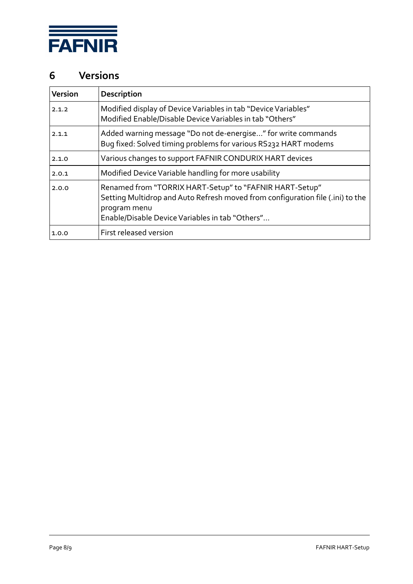

# **6 Versions**

| Version | Description                                                                                                                                                                                                  |
|---------|--------------------------------------------------------------------------------------------------------------------------------------------------------------------------------------------------------------|
| 2.1.2   | Modified display of Device Variables in tab "Device Variables"<br>Modified Enable/Disable Device Variables in tab "Others"                                                                                   |
| 2.1.1   | Added warning message "Do not de-energise" for write commands<br>Bug fixed: Solved timing problems for various RS232 HART modems                                                                             |
| 2.1.0   | Various changes to support FAFNIR CONDURIX HART devices                                                                                                                                                      |
| 2.0.1   | Modified Device Variable handling for more usability                                                                                                                                                         |
| 2.0.0   | Renamed from "TORRIX HART-Setup" to "FAFNIR HART-Setup"<br>Setting Multidrop and Auto Refresh moved from configuration file (.ini) to the<br>program menu<br>Enable/Disable Device Variables in tab "Others" |
| 1.0.0   | First released version                                                                                                                                                                                       |